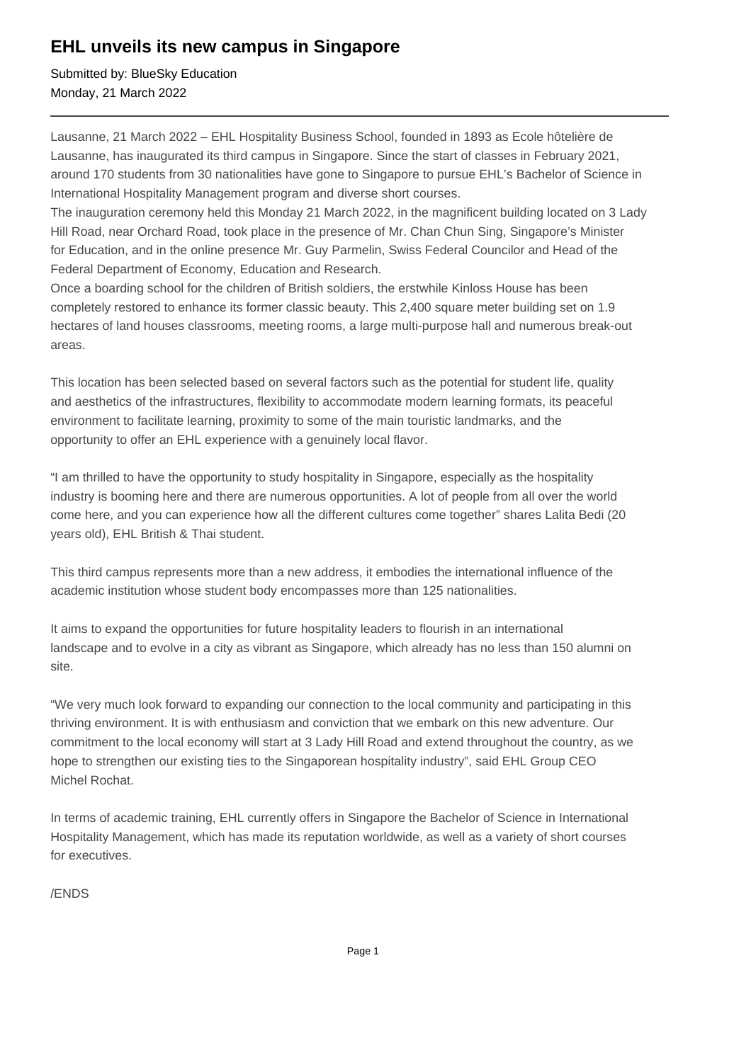## **EHL unveils its new campus in Singapore**

Submitted by: BlueSky Education Monday, 21 March 2022

Lausanne, 21 March 2022 – EHL Hospitality Business School, founded in 1893 as Ecole hôtelière de Lausanne, has inaugurated its third campus in Singapore. Since the start of classes in February 2021, around 170 students from 30 nationalities have gone to Singapore to pursue EHL's Bachelor of Science in International Hospitality Management program and diverse short courses.

The inauguration ceremony held this Monday 21 March 2022, in the magnificent building located on 3 Lady Hill Road, near Orchard Road, took place in the presence of Mr. Chan Chun Sing, Singapore's Minister for Education, and in the online presence Mr. Guy Parmelin, Swiss Federal Councilor and Head of the Federal Department of Economy, Education and Research.

Once a boarding school for the children of British soldiers, the erstwhile Kinloss House has been completely restored to enhance its former classic beauty. This 2,400 square meter building set on 1.9 hectares of land houses classrooms, meeting rooms, a large multi-purpose hall and numerous break-out areas.

This location has been selected based on several factors such as the potential for student life, quality and aesthetics of the infrastructures, flexibility to accommodate modern learning formats, its peaceful environment to facilitate learning, proximity to some of the main touristic landmarks, and the opportunity to offer an EHL experience with a genuinely local flavor.

"I am thrilled to have the opportunity to study hospitality in Singapore, especially as the hospitality industry is booming here and there are numerous opportunities. A lot of people from all over the world come here, and you can experience how all the different cultures come together" shares Lalita Bedi (20 years old), EHL British & Thai student.

This third campus represents more than a new address, it embodies the international influence of the academic institution whose student body encompasses more than 125 nationalities.

It aims to expand the opportunities for future hospitality leaders to flourish in an international landscape and to evolve in a city as vibrant as Singapore, which already has no less than 150 alumni on site.

"We very much look forward to expanding our connection to the local community and participating in this thriving environment. It is with enthusiasm and conviction that we embark on this new adventure. Our commitment to the local economy will start at 3 Lady Hill Road and extend throughout the country, as we hope to strengthen our existing ties to the Singaporean hospitality industry", said EHL Group CEO Michel Rochat.

In terms of academic training, EHL currently offers in Singapore the Bachelor of Science in International Hospitality Management, which has made its reputation worldwide, as well as a variety of short courses for executives.

/ENDS